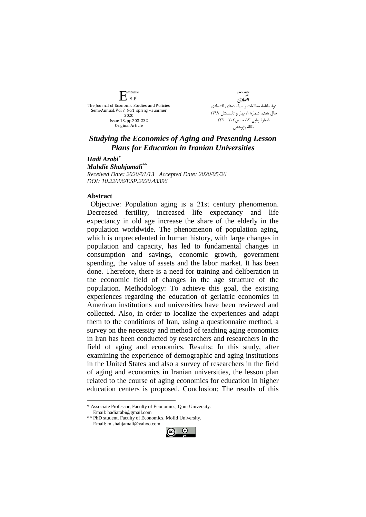conomic  $E_{SP}$ The Journal of Economic Studies and Policies Semi-Annual, Vol.7, No.1, spring – summer 2020 Issue 13, pp.203-232 Original Article

.<br>ھامات مباست<sup>4</sup>ی اقضادي دوفصلنامۀ مطالعات و سیاستهای اقتصادی سال هفتم، شمارة ،1 بهار و تابسستان 1399 شمارة پياپي ١٣، صص٢٠٣ ـ ٢٣٢ مقالۀ پژوهشي

## *Studying the Economics of Aging and Presenting Lesson Plans for Education in Iranian Universities*

*Hadi Arabi\* Mahdie Shahjamali\*\* Received Date: 2020/01/13 Accepted Date: 2020/05/26 DOI: 10.22096/ESP.2020.43396*

## **Abstract**

<u>.</u>

Objective: Population aging is a 21st century phenomenon. Decreased fertility, increased life expectancy and life expectancy in old age increase the share of the elderly in the population worldwide. The phenomenon of population aging, which is unprecedented in human history, with large changes in population and capacity, has led to fundamental changes in consumption and savings, economic growth, government spending, the value of assets and the labor market. It has been done. Therefore, there is a need for training and deliberation in the economic field of changes in the age structure of the population. Methodology: To achieve this goal, the existing experiences regarding the education of geriatric economics in American institutions and universities have been reviewed and collected. Also, in order to localize the experiences and adapt them to the conditions of Iran, using a questionnaire method, a survey on the necessity and method of teaching aging economics in Iran has been conducted by researchers and researchers in the field of aging and economics. Results: In this study, after examining the experience of demographic and aging institutions in the United States and also a survey of researchers in the field of aging and economics in Iranian universities, the lesson plan related to the course of aging economics for education in higher education centers is proposed. Conclusion: The results of this

\* Associate Professor, Faculty of Economics, Qom University. Email: hadiarabi@gmail.com

\*\* PhD student, Faculty of Economics, Mofid University. Email: m.shahjamali@yahoo.com

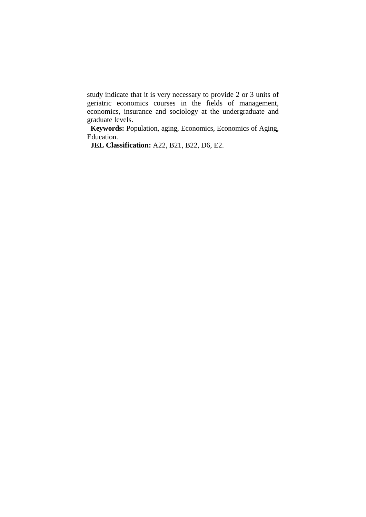study indicate that it is very necessary to provide 2 or 3 units of geriatric economics courses in the fields of management, economics, insurance and sociology at the undergraduate and graduate levels.

**Keywords:** Population, aging, Economics, Economics of Aging, Education.

**JEL Classification:** A22, B21, B22, D6, E2.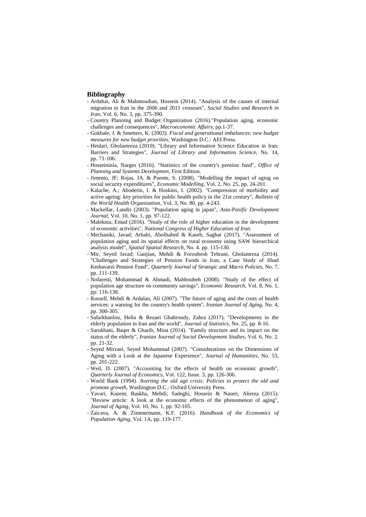## **Bibliography**

- Ardahai, Ali & Mahmoudian, Hossein (2014). "Analysis of the causes of internal migration in Iran in the 2006 and 2011 censuses", *Social Studies and Research in Iran*, Vol. 6, No. 3, pp. 375-390.
- Country Planning and Budget Organization (2016)."Population aging, economic challenges and consequences", *Macroeconomic Affairs*, pp.1-37.
- Gokhale, J. & Smetters, K. (2003). *Fiscal and generational imbalances: new budget measures for new budget priorities*, Washington D.C.: AEI Press.
- Heidari, Gholamreza (2010). "Library and Information Science Education in Iran: Barriers and Strategies", *Journal of Library and Information Science*, No. 14, pp. 71-106.
- Hosseininia, Narges (2016). "Statistics of the country's pension fund", *Office of Planning and Systems Developmen*, First Edition.
- Jimento, JF; Rojas, JA. & Puente, S. (2008). "Modelling the impact of aging on social security expenditures", *Economic Modelling*, Vol. 2, No. 25, pp. 24-201.
- Kalache, A.; Aboderin, I. & Hoskins, I. (2002). "Compression of morbidity and active ageing: key priorities for public health policy in the 21st century", *Bulletin of the World Health Organization*, Vol. 3, No. 80, pp. 4-243.
- Mackellar, Landis (2003). "Population aging in japan", *Asia-Pasific Development Journal*, Vol. 10, No. 1, pp. 97-122.
- Maleknia, Emad (2016). "Study of the role of higher education in the development of economic activities", *National Congress of Higher Education of Iran.*
- Mechaniki, Javad; Arbabi, Abolhahed & Kaseb, Saghar (2017). "Assessment of population aging and its spatial effects on rural economy using SAW hierarchical analysis model", *Spatial Spatial Research*, No. 4. pp. 115-130.
- Mir, Seyed Javad; Ganjian, Mehdi & Forouhesh Tehrani, Gholamreza (2014). "Challenges and Strategies of Pension Funds in Iran, a Case Study of Jihad Keshavarzi Pension Fund", *Quarterly Journal of Strategic and Macro Policies*, No. 7, pp. 111-139.
- Nofaresti, Mohammad & Ahmadi, Mahboubeh (2008). "Study of the effect of population age structure on community savings", *Economic Research*, Vol. 8, No. 1, pp: 116-138.
- Russell, Mehdi & Ardalan, Ali (2007). "The future of aging and the costs of health services: a warning for the country's health system", *Iranian Journal of Aging*, No. 4, pp. 300-305.
- Safarkhanlou, Helia & Rezaei Ghahroudy, Zahra (2017). "Developments in the elderly population in Iran and the world", *Journal of Statistics*, No. 25, pp. 8-16.
- Sarukhani, Baqer & Gharib, Mina (2014). "Family structure and its impact on the status of the elderly", *Iranian Journal of Social Development Studies*, Vol. 6, No. 2. pp. 21-32.
- Seyed Mirzaei, Seyed Mohammad (2007). "Considerations on the Dimensions of Aging with a Look at the Japanese Experience", *Journal of Humanities*, No. 53, pp. 201-222.
- Weil, D. (2007). "Accounting for the effects of health on economic growth", *Quarterly Journal of Economics*, Vol. 122, Issue. 3, pp. 126-306.
- World Bank (1994). *Averting the old age crisis: Policies to protect the old and promote growth*, Washington D.C.: Oxford University Press.
- Yavari, Kazem; Baskha, Mehdi; Sadeghi, Hossein & Naseri, Alireza (2015). "Review article: A look at the economic effects of the phenomenon of aging", *Journal of Aging*, Vol. 10, No. 1, pp. 92-105.
- Zaicava, A. & Zimmermann, K.F. (2016). *Handbook of the Economics of Population Aging*, Vol. 1A, pp. 119-177.